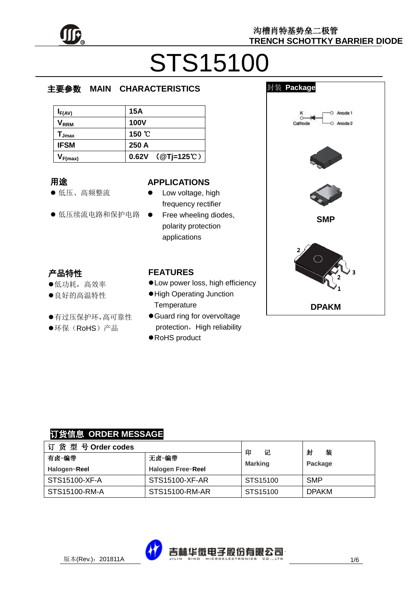

# STS15100

 $\overline{\phantom{a}}$ 

#### e  $\overline{\phantom{a}}$ 主要参数 **MAIN CHARACTERISTICS**

| $I_{F(AV)}$                  | 15A                 |
|------------------------------|---------------------|
| $\mathsf{V}_{\mathsf{RRM}}$  | <b>100V</b>         |
| $\mathsf{T}_{\mathsf{Jmax}}$ | 150 °C              |
| <b>IFSM</b>                  | 250 A               |
| $V_{F(max)}$                 | $0.62V$ (@Tj=125°C) |

#### 用途

- 低压、高频整流
- 低压续流电路和保护电路

#### **APPLICATIONS**

- Low voltage, high frequency rectifier
- Free wheeling diodes, polarity protection applications

# 产品特性

- 低功耗,高效率
- 良好的高温特性
- 有过压保护环,高可靠性
- ●环保(RoHS)产品

#### **FEATURES**

- Low power loss, high efficiency
- High Operating Junction **Temperature**
- Guard ring for overvoltage protection, High reliability
- RoHS product



# 订货信息 **ORDER MESSAGE**

| 订货型号Order codes |                          | 印<br>记         | 封<br>装<br>Package |
|-----------------|--------------------------|----------------|-------------------|
| 有卤-编带<br>无卤-编带  |                          | <b>Marking</b> |                   |
| Halogen-Reel    | <b>Halogen Free-Reel</b> |                |                   |
| STS15100-XF-A   | STS15100-XF-AR           | STS15100       | <b>SMP</b>        |
| STS15100-RM-A   | STS15100-RM-AR           | STS15100       | <b>DPAKM</b>      |

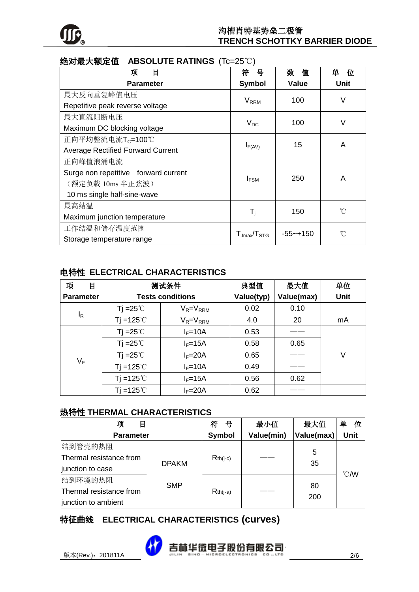

| 绝对最大额定值<br>ABSOLUTE RATINGS $(1c=25 \text{ C})$ |                                  |               |              |  |
|-------------------------------------------------|----------------------------------|---------------|--------------|--|
| 目<br>项                                          | 符<br>뮹                           | 数<br>值        | 单<br>位       |  |
| <b>Parameter</b>                                | <b>Symbol</b>                    | Value         | Unit         |  |
| 最大反向重复峰值电压                                      |                                  |               | V            |  |
| Repetitive peak reverse voltage                 | <b>V</b> <sub>RRM</sub>          | 100           |              |  |
| 最大直流阻断电压                                        |                                  |               | V            |  |
| Maximum DC blocking voltage                     | $V_{DC}$                         | 100           |              |  |
| 正向平均整流电流T <sub>C</sub> =100℃                    | $I_{F(AV)}$                      | 15            | A            |  |
| <b>Average Rectified Forward Current</b>        |                                  |               |              |  |
| 正向峰值浪涌电流                                        |                                  |               |              |  |
| Surge non repetitive forward current            | <b>I</b> FSM                     | 250           | A            |  |
| (额定负载 10ms 半正弦波)                                |                                  |               |              |  |
| 10 ms single half-sine-wave                     |                                  |               |              |  |
| 最高结温                                            | $T_i$                            | 150           |              |  |
| Maximum junction temperature                    |                                  |               | $^{\circ}$ C |  |
| 工作结温和储存温度范围                                     | $T_{\text{Jmax}}/T_{\text{STG}}$ |               | °C           |  |
| Storage temperature range                       |                                  | $-55 - + 150$ |              |  |

### 绝对最大额定值 **ABSOLUTE RATINGS** (Tc=25℃)

### 电特性 **ELECTRICAL CHARACTERISTICS**

| 项<br>目           | 测试条件                    |                 | 典型值        | 最大值        | 单位          |
|------------------|-------------------------|-----------------|------------|------------|-------------|
| <b>Parameter</b> | <b>Tests conditions</b> |                 | Value(typ) | Value(max) | <b>Unit</b> |
|                  | Tj = $25^{\circ}$       | $V_R = V_{RRM}$ | 0.02       | 0.10       |             |
| $I_R$            | Tj =125 $^{\circ}$ C    | $V_R = V_{RRM}$ | 4.0        | 20         | mA          |
|                  | Tj = $25^{\circ}$ C     | $I_F = 10A$     | 0.53       |            |             |
|                  | Ti = $25^{\circ}$       | $I_F = 15A$     | 0.58       | 0.65       |             |
|                  | Tj = $25^{\circ}$ C     | $I_F = 20A$     | 0.65       |            | V           |
| VF               | Ti =125 $°C$            | $I_F = 10A$     | 0.49       |            |             |
|                  | Tj =125 $°C$            | $I_F = 15A$     | 0.56       | 0.62       |             |
|                  | Ti =125 $^{\circ}$ C    | $I_F = 20A$     | 0.62       |            |             |

#### 热特性 **THERMAL CHARACTERISTICS**

| 目<br>项                           |            | 号<br>符     | 最小值        | 最大值        | 单<br>位           |
|----------------------------------|------------|------------|------------|------------|------------------|
| <b>Parameter</b>                 |            | Symbol     | Value(min) | Value(max) | <b>Unit</b>      |
| 结到管壳的热阻                          |            |            |            |            |                  |
| Thermal resistance from          |            | $Rth(j-c)$ |            | 5          |                  |
| <b>DPAKM</b><br>junction to case |            |            |            | 35         |                  |
| 结到环境的热阻                          |            |            |            |            | $\mathcal{C}$ MV |
| Thermal resistance from          | <b>SMP</b> | $Rth(i-a)$ |            | 80         |                  |
| junction to ambient              |            |            |            | 200        |                  |

# 特征曲线 **ELECTRICAL CHARACTERISTICS (curves)**

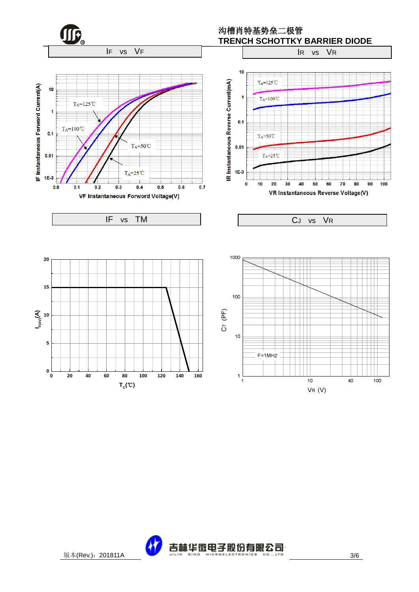

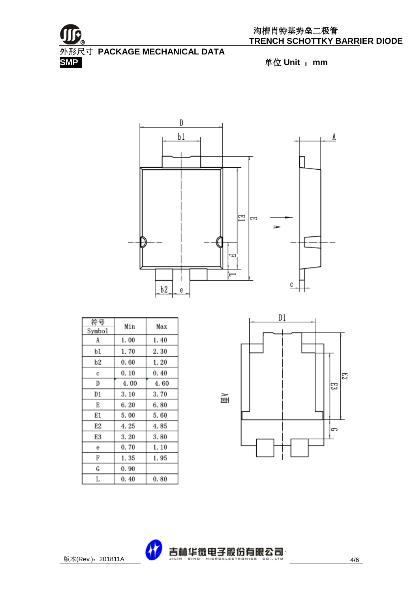



| 符号<br>Symbol | Min  | Max  |
|--------------|------|------|
| A            | 1.00 | 1.40 |
| b1           | 1.70 | 2.30 |
| b2           | 0.60 | 1.20 |
| с            | 0.10 | 0.40 |
| D            | 4.00 | 4.60 |
| D1           | 3.10 | 3.70 |
| Е            | 6.20 | 6.80 |
| E1           | 5.00 | 5.60 |
| E2           | 4.25 | 4.85 |
| E3           | 3.20 | 3.80 |
| е            | 0.70 | 1.10 |
| F            | 1.35 | 1.95 |
| G            | 0.90 |      |
| L            | 0.40 | 0.80 |



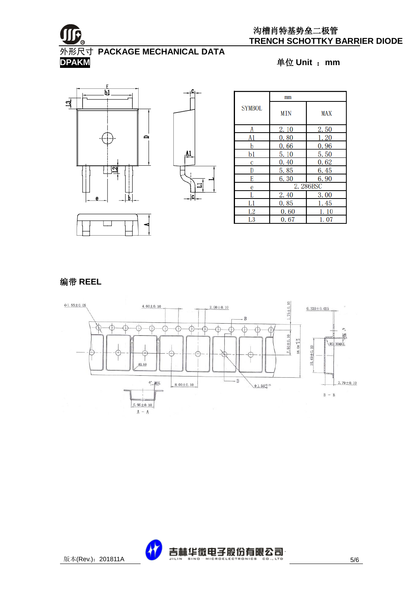

#### 沟槽肖特基势垒二极管 **TRENCH SCHOTTKY BARRIER DIODE**

外形尺寸 **PACKAGE MECHANICAL DATA DPAKM** 单位 **Unit** :**mm**







编带 **REEL**